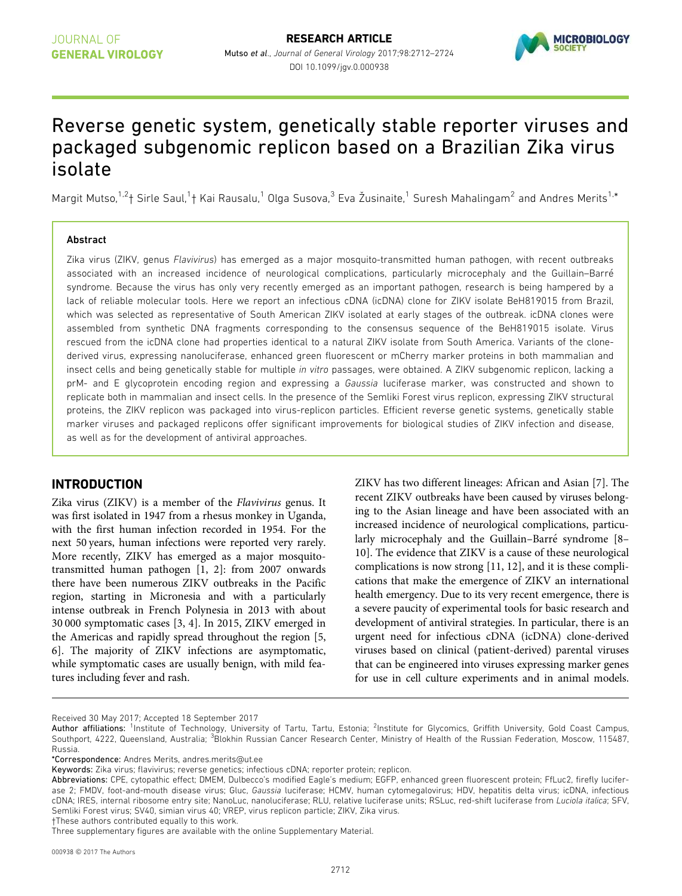

# Reverse genetic system, genetically stable reporter viruses and packaged subgenomic replicon based on a Brazilian Zika virus isolate

Margit Mutso,<sup>1,2</sup>† Sirle Saul,<sup>1</sup>† Kai Rausalu,<sup>1</sup> Olga Susova,<sup>3</sup> Eva Žusinaite,<sup>1</sup> Suresh Mahalingam<sup>2</sup> and Andres Merits<sup>1,\*</sup>

#### Abstract

Zika virus (ZIKV, genus Flavivirus) has emerged as a major mosquito-transmitted human pathogen, with recent outbreaks associated with an increased incidence of neurological complications, particularly microcephaly and the Guillain–Barre syndrome. Because the virus has only very recently emerged as an important pathogen, research is being hampered by a lack of reliable molecular tools. Here we report an infectious cDNA (icDNA) clone for ZIKV isolate BeH819015 from Brazil, which was selected as representative of South American ZIKV isolated at early stages of the outbreak. icDNA clones were assembled from synthetic DNA fragments corresponding to the consensus sequence of the BeH819015 isolate. Virus rescued from the icDNA clone had properties identical to a natural ZIKV isolate from South America. Variants of the clonederived virus, expressing nanoluciferase, enhanced green fluorescent or mCherry marker proteins in both mammalian and insect cells and being genetically stable for multiple in vitro passages, were obtained. A ZIKV subgenomic replicon, lacking a prM- and E glycoprotein encoding region and expressing a Gaussia luciferase marker, was constructed and shown to replicate both in mammalian and insect cells. In the presence of the Semliki Forest virus replicon, expressing ZIKV structural proteins, the ZIKV replicon was packaged into virus-replicon particles. Efficient reverse genetic systems, genetically stable marker viruses and packaged replicons offer significant improvements for biological studies of ZIKV infection and disease, as well as for the development of antiviral approaches.

# INTRODUCTION

Zika virus (ZIKV) is a member of the Flavivirus genus. It was first isolated in 1947 from a rhesus monkey in Uganda, with the first human infection recorded in 1954. For the next 50 years, human infections were reported very rarely. More recently, ZIKV has emerged as a major mosquitotransmitted human pathogen [1, 2]: from 2007 onwards there have been numerous ZIKV outbreaks in the Pacific region, starting in Micronesia and with a particularly intense outbreak in French Polynesia in 2013 with about 30 000 symptomatic cases [3, 4]. In 2015, ZIKV emerged in the Americas and rapidly spread throughout the region [5, 6]. The majority of ZIKV infections are asymptomatic, while symptomatic cases are usually benign, with mild features including fever and rash.

ZIKV has two different lineages: African and Asian [7]. The recent ZIKV outbreaks have been caused by viruses belonging to the Asian lineage and have been associated with an increased incidence of neurological complications, particularly microcephaly and the Guillain-Barré syndrome [8-10]. The evidence that ZIKV is a cause of these neurological complications is now strong [11, 12], and it is these complications that make the emergence of ZIKV an international health emergency. Due to its very recent emergence, there is a severe paucity of experimental tools for basic research and development of antiviral strategies. In particular, there is an urgent need for infectious cDNA (icDNA) clone-derived viruses based on clinical (patient-derived) parental viruses that can be engineered into viruses expressing marker genes for use in cell culture experiments and in animal models.

Received 30 May 2017; Accepted 18 September 2017

†These authors contributed equally to this work.

Author affiliations: <sup>1</sup>Institute of Technology, University of Tartu, Tartu, Estonia; <sup>2</sup>Institute for Glycomics, Griffith University, Gold Coast Campus, Southport, 4222, Queensland, Australia; <sup>3</sup>Blokhin Russian Cancer Research Center, Ministry of Health of the Russian Federation, Moscow, 115487, Russia.

<sup>\*</sup>Correspondence: Andres Merits, andres.merits@ut.ee

Keywords: Zika virus; flavivirus; reverse genetics; infectious cDNA; reporter protein; replicon.

Abbreviations: CPE, cytopathic effect; DMEM, Dulbecco's modified Eagle's medium; EGFP, enhanced green fluorescent protein; FfLuc2, firefly luciferase 2; FMDV, foot-and-mouth disease virus; Gluc, Gaussia luciferase; HCMV, human cytomegalovirus; HDV, hepatitis delta virus; icDNA, infectious cDNA; IRES, internal ribosome entry site; NanoLuc, nanoluciferase; RLU, relative luciferase units; RSLuc, red-shift luciferase from Luciola italica; SFV, Semliki Forest virus; SV40, simian virus 40; VREP, virus replicon particle; ZIKV, Zika virus.

Three supplementary figures are available with the online Supplementary Material.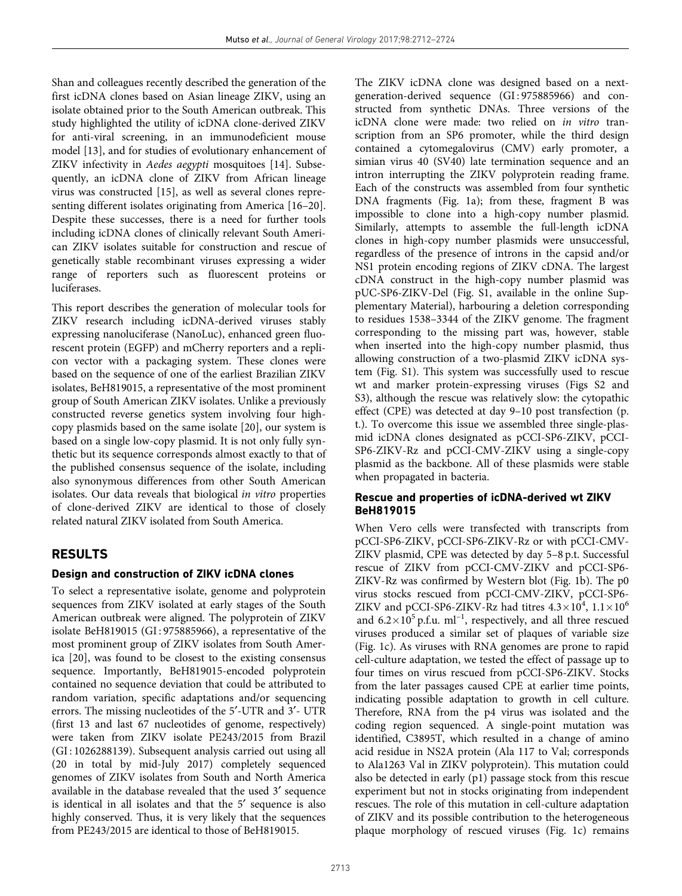Shan and colleagues recently described the generation of the first icDNA clones based on Asian lineage ZIKV, using an isolate obtained prior to the South American outbreak. This study highlighted the utility of icDNA clone-derived ZIKV for anti-viral screening, in an immunodeficient mouse model [13], and for studies of evolutionary enhancement of ZIKV infectivity in Aedes aegypti mosquitoes [14]. Subsequently, an icDNA clone of ZIKV from African lineage virus was constructed [15], as well as several clones representing different isolates originating from America [16–20]. Despite these successes, there is a need for further tools including icDNA clones of clinically relevant South American ZIKV isolates suitable for construction and rescue of genetically stable recombinant viruses expressing a wider range of reporters such as fluorescent proteins or luciferases.

This report describes the generation of molecular tools for ZIKV research including icDNA-derived viruses stably expressing nanoluciferase (NanoLuc), enhanced green fluorescent protein (EGFP) and mCherry reporters and a replicon vector with a packaging system. These clones were based on the sequence of one of the earliest Brazilian ZIKV isolates, BeH819015, a representative of the most prominent group of South American ZIKV isolates. Unlike a previously constructed reverse genetics system involving four highcopy plasmids based on the same isolate [20], our system is based on a single low-copy plasmid. It is not only fully synthetic but its sequence corresponds almost exactly to that of the published consensus sequence of the isolate, including also synonymous differences from other South American isolates. Our data reveals that biological in vitro properties of clone-derived ZIKV are identical to those of closely related natural ZIKV isolated from South America.

# RESULTS

#### Design and construction of ZIKV icDNA clones

To select a representative isolate, genome and polyprotein sequences from ZIKV isolated at early stages of the South American outbreak were aligned. The polyprotein of ZIKV isolate BeH819015 (GI : 975885966), a representative of the most prominent group of ZIKV isolates from South America [20], was found to be closest to the existing consensus sequence. Importantly, BeH819015-encoded polyprotein contained no sequence deviation that could be attributed to random variation, specific adaptations and/or sequencing errors. The missing nucleotides of the 5'-UTR and 3'- UTR (first 13 and last 67 nucleotides of genome, respectively) were taken from ZIKV isolate PE243/2015 from Brazil (GI : 1026288139). Subsequent analysis carried out using all (20 in total by mid-July 2017) completely sequenced genomes of ZIKV isolates from South and North America available in the database revealed that the used 3¢ sequence is identical in all isolates and that the 5' sequence is also highly conserved. Thus, it is very likely that the sequences from PE243/2015 are identical to those of BeH819015.

The ZIKV icDNA clone was designed based on a nextgeneration-derived sequence (GI : 975885966) and constructed from synthetic DNAs. Three versions of the icDNA clone were made: two relied on in vitro transcription from an SP6 promoter, while the third design contained a cytomegalovirus (CMV) early promoter, a simian virus 40 (SV40) late termination sequence and an intron interrupting the ZIKV polyprotein reading frame. Each of the constructs was assembled from four synthetic DNA fragments (Fig. 1a); from these, fragment B was impossible to clone into a high-copy number plasmid. Similarly, attempts to assemble the full-length icDNA clones in high-copy number plasmids were unsuccessful, regardless of the presence of introns in the capsid and/or NS1 protein encoding regions of ZIKV cDNA. The largest cDNA construct in the high-copy number plasmid was pUC-SP6-ZIKV-Del (Fig. S1, available in the online Supplementary Material), harbouring a deletion corresponding to residues 1538–3344 of the ZIKV genome. The fragment corresponding to the missing part was, however, stable when inserted into the high-copy number plasmid, thus allowing construction of a two-plasmid ZIKV icDNA system (Fig. S1). This system was successfully used to rescue wt and marker protein-expressing viruses (Figs S2 and S3), although the rescue was relatively slow: the cytopathic effect (CPE) was detected at day 9–10 post transfection (p. t.). To overcome this issue we assembled three single-plasmid icDNA clones designated as pCCI-SP6-ZIKV, pCCI-SP6-ZIKV-Rz and pCCI-CMV-ZIKV using a single-copy plasmid as the backbone. All of these plasmids were stable when propagated in bacteria.

# Rescue and properties of icDNA-derived wt ZIKV BeH819015

When Vero cells were transfected with transcripts from pCCI-SP6-ZIKV, pCCI-SP6-ZIKV-Rz or with pCCI-CMV-ZIKV plasmid, CPE was detected by day 5–8 p.t. Successful rescue of ZIKV from pCCI-CMV-ZIKV and pCCI-SP6- ZIKV-Rz was confirmed by Western blot (Fig. 1b). The p0 virus stocks rescued from pCCI-CMV-ZIKV, pCCI-SP6- ZIKV and pCCI-SP6-ZIKV-Rz had titres  $4.3 \times 10^4$ ,  $1.1 \times 10^6$ and  $6.2 \times 10^5$  p.f.u. ml<sup>-1</sup>, respectively, and all three rescued viruses produced a similar set of plaques of variable size (Fig. 1c). As viruses with RNA genomes are prone to rapid cell-culture adaptation, we tested the effect of passage up to four times on virus rescued from pCCI-SP6-ZIKV. Stocks from the later passages caused CPE at earlier time points, indicating possible adaptation to growth in cell culture. Therefore, RNA from the p4 virus was isolated and the coding region sequenced. A single-point mutation was identified, C3895T, which resulted in a change of amino acid residue in NS2A protein (Ala 117 to Val; corresponds to Ala1263 Val in ZIKV polyprotein). This mutation could also be detected in early (p1) passage stock from this rescue experiment but not in stocks originating from independent rescues. The role of this mutation in cell-culture adaptation of ZIKV and its possible contribution to the heterogeneous plaque morphology of rescued viruses (Fig. 1c) remains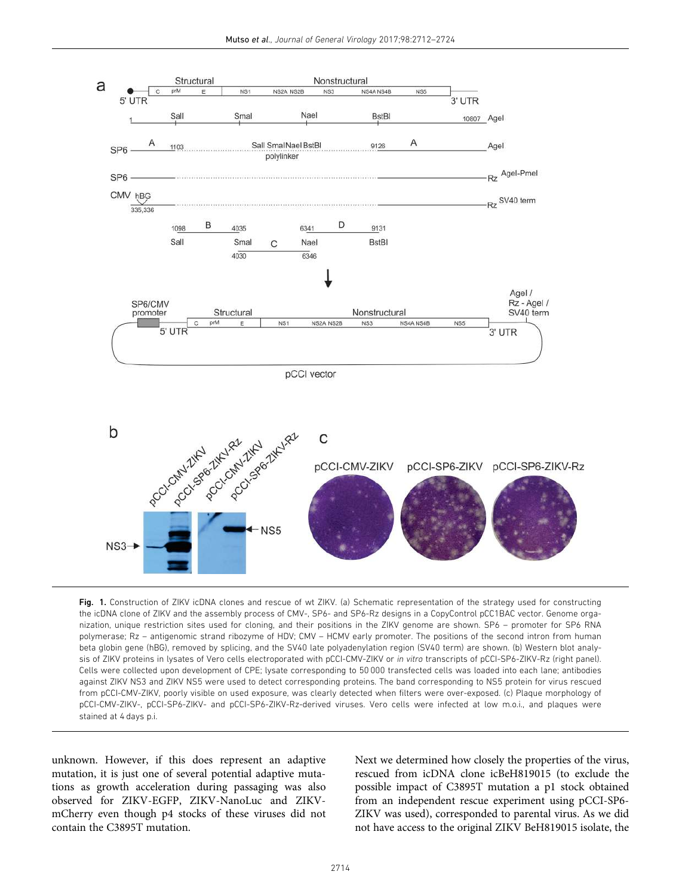

Fig. 1. Construction of ZIKV icDNA clones and rescue of wt ZIKV. (a) Schematic representation of the strategy used for constructing the icDNA clone of ZIKV and the assembly process of CMV-, SP6- and SP6-Rz designs in a CopyControl pCC1BAC vector. Genome organization, unique restriction sites used for cloning, and their positions in the ZIKV genome are shown. SP6 – promoter for SP6 RNA polymerase; Rz – antigenomic strand ribozyme of HDV; CMV – HCMV early promoter. The positions of the second intron from human beta globin gene (hBG), removed by splicing, and the SV40 late polyadenylation region (SV40 term) are shown. (b) Western blot analysis of ZIKV proteins in lysates of Vero cells electroporated with pCCI-CMV-ZIKV or in vitro transcripts of pCCI-SP6-ZIKV-Rz (right panel). Cells were collected upon development of CPE; lysate corresponding to 50 000 transfected cells was loaded into each lane; antibodies against ZIKV NS3 and ZIKV NS5 were used to detect corresponding proteins. The band corresponding to NS5 protein for virus rescued from pCCI-CMV-ZIKV, poorly visible on used exposure, was clearly detected when filters were over-exposed. (c) Plaque morphology of pCCI-CMV-ZIKV-, pCCI-SP6-ZIKV- and pCCI-SP6-ZIKV-Rz-derived viruses. Vero cells were infected at low m.o.i., and plaques were stained at 4 days p.i.

unknown. However, if this does represent an adaptive mutation, it is just one of several potential adaptive mutations as growth acceleration during passaging was also observed for ZIKV-EGFP, ZIKV-NanoLuc and ZIKVmCherry even though p4 stocks of these viruses did not contain the C3895T mutation.

Next we determined how closely the properties of the virus, rescued from icDNA clone icBeH819015 (to exclude the possible impact of C3895T mutation a p1 stock obtained from an independent rescue experiment using pCCI-SP6- ZIKV was used), corresponded to parental virus. As we did not have access to the original ZIKV BeH819015 isolate, the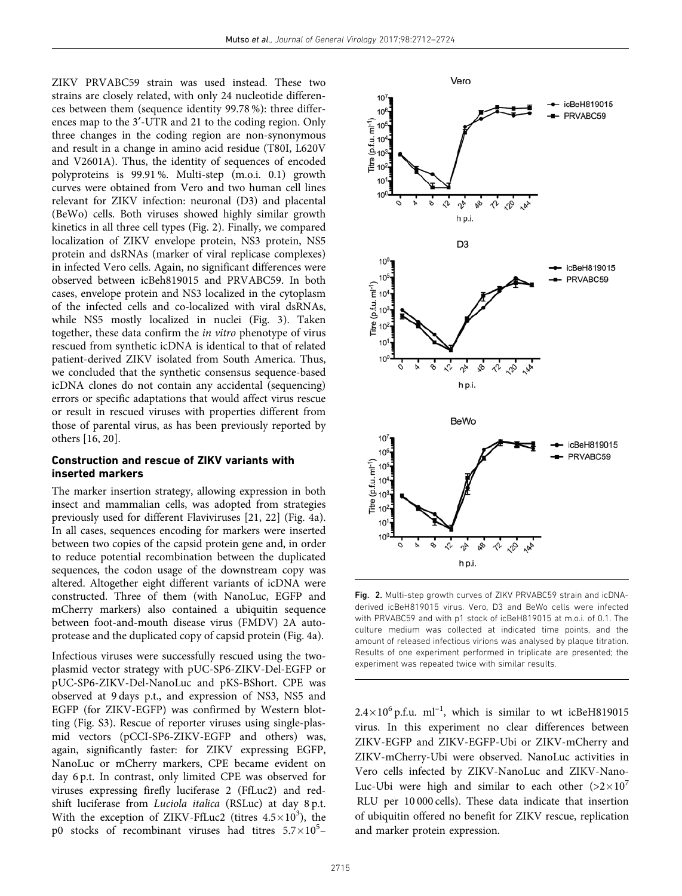ZIKV PRVABC59 strain was used instead. These two strains are closely related, with only 24 nucleotide differences between them (sequence identity 99.78 %): three differences map to the 3'-UTR and 21 to the coding region. Only three changes in the coding region are non-synonymous and result in a change in amino acid residue (T80I, L620V and V2601A). Thus, the identity of sequences of encoded polyproteins is 99.91 %. Multi-step (m.o.i. 0.1) growth curves were obtained from Vero and two human cell lines relevant for ZIKV infection: neuronal (D3) and placental (BeWo) cells. Both viruses showed highly similar growth kinetics in all three cell types (Fig. 2). Finally, we compared localization of ZIKV envelope protein, NS3 protein, NS5 protein and dsRNAs (marker of viral replicase complexes) in infected Vero cells. Again, no significant differences were observed between icBeh819015 and PRVABC59. In both cases, envelope protein and NS3 localized in the cytoplasm of the infected cells and co-localized with viral dsRNAs, while NS5 mostly localized in nuclei (Fig. 3). Taken together, these data confirm the in vitro phenotype of virus rescued from synthetic icDNA is identical to that of related patient-derived ZIKV isolated from South America. Thus, we concluded that the synthetic consensus sequence-based icDNA clones do not contain any accidental (sequencing) errors or specific adaptations that would affect virus rescue or result in rescued viruses with properties different from those of parental virus, as has been previously reported by others [16, 20].

#### Construction and rescue of ZIKV variants with inserted markers

The marker insertion strategy, allowing expression in both insect and mammalian cells, was adopted from strategies previously used for different Flaviviruses [21, 22] (Fig. 4a). In all cases, sequences encoding for markers were inserted between two copies of the capsid protein gene and, in order to reduce potential recombination between the duplicated sequences, the codon usage of the downstream copy was altered. Altogether eight different variants of icDNA were constructed. Three of them (with NanoLuc, EGFP and mCherry markers) also contained a ubiquitin sequence between foot-and-mouth disease virus (FMDV) 2A autoprotease and the duplicated copy of capsid protein (Fig. 4a).

Infectious viruses were successfully rescued using the twoplasmid vector strategy with pUC-SP6-ZIKV-Del-EGFP or pUC-SP6-ZIKV-Del-NanoLuc and pKS-BShort. CPE was observed at 9 days p.t., and expression of NS3, NS5 and EGFP (for ZIKV-EGFP) was confirmed by Western blotting (Fig. S3). Rescue of reporter viruses using single-plasmid vectors (pCCI-SP6-ZIKV-EGFP and others) was, again, significantly faster: for ZIKV expressing EGFP, NanoLuc or mCherry markers, CPE became evident on day 6 p.t. In contrast, only limited CPE was observed for viruses expressing firefly luciferase 2 (FfLuc2) and redshift luciferase from Luciola italica (RSLuc) at day 8 p.t. With the exception of ZIKV-FfLuc2 (titres  $4.5 \times 10^3$ ), the p0 stocks of recombinant viruses had titres  $5.7 \times 10^5$ -



Fig. 2. Multi-step growth curves of ZIKV PRVABC59 strain and icDNAderived icBeH819015 virus. Vero, D3 and BeWo cells were infected with PRVABC59 and with p1 stock of icBeH819015 at m.o.i. of 0.1. The culture medium was collected at indicated time points, and the amount of released infectious virions was analysed by plaque titration. Results of one experiment performed in triplicate are presented; the experiment was repeated twice with similar results.

 $2.4\times10^{6}$  p.f.u. ml<sup>-1</sup>, which is similar to wt icBeH819015 virus. In this experiment no clear differences between ZIKV-EGFP and ZIKV-EGFP-Ubi or ZIKV-mCherry and ZIKV-mCherry-Ubi were observed. NanoLuc activities in Vero cells infected by ZIKV-NanoLuc and ZIKV-Nano-Luc-Ubi were high and similar to each other  $(>2\times10^7)$ RLU per 10 000 cells). These data indicate that insertion of ubiquitin offered no benefit for ZIKV rescue, replication and marker protein expression.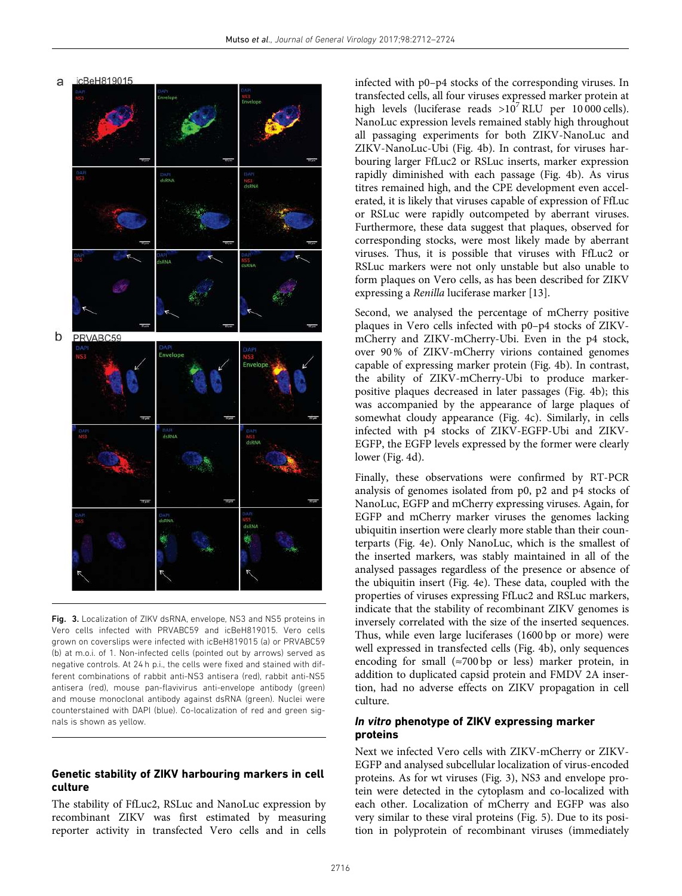

Fig. 3. Localization of ZIKV dsRNA, envelope, NS3 and NS5 proteins in Vero cells infected with PRVABC59 and icBeH819015. Vero cells grown on coverslips were infected with icBeH819015 (a) or PRVABC59 (b) at m.o.i. of 1. Non-infected cells (pointed out by arrows) served as negative controls. At 24 h p.i., the cells were fixed and stained with different combinations of rabbit anti-NS3 antisera (red), rabbit anti-NS5 antisera (red), mouse pan-flavivirus anti-envelope antibody (green) and mouse monoclonal antibody against dsRNA (green). Nuclei were counterstained with DAPI (blue). Co-localization of red and green signals is shown as yellow.

#### Genetic stability of ZIKV harbouring markers in cell culture

The stability of FfLuc2, RSLuc and NanoLuc expression by recombinant ZIKV was first estimated by measuring reporter activity in transfected Vero cells and in cells

infected with p0–p4 stocks of the corresponding viruses. In transfected cells, all four viruses expressed marker protein at high levels (luciferase reads  $>10^7$  RLU per 10 000 cells). NanoLuc expression levels remained stably high throughout all passaging experiments for both ZIKV-NanoLuc and ZIKV-NanoLuc-Ubi (Fig. 4b). In contrast, for viruses harbouring larger FfLuc2 or RSLuc inserts, marker expression rapidly diminished with each passage (Fig. 4b). As virus titres remained high, and the CPE development even accelerated, it is likely that viruses capable of expression of FfLuc or RSLuc were rapidly outcompeted by aberrant viruses. Furthermore, these data suggest that plaques, observed for corresponding stocks, were most likely made by aberrant viruses. Thus, it is possible that viruses with FfLuc2 or RSLuc markers were not only unstable but also unable to form plaques on Vero cells, as has been described for ZIKV expressing a Renilla luciferase marker [13].

Second, we analysed the percentage of mCherry positive plaques in Vero cells infected with p0–p4 stocks of ZIKVmCherry and ZIKV-mCherry-Ubi. Even in the p4 stock, over 90 % of ZIKV-mCherry virions contained genomes capable of expressing marker protein (Fig. 4b). In contrast, the ability of ZIKV-mCherry-Ubi to produce markerpositive plaques decreased in later passages (Fig. 4b); this was accompanied by the appearance of large plaques of somewhat cloudy appearance (Fig. 4c). Similarly, in cells infected with p4 stocks of ZIKV-EGFP-Ubi and ZIKV-EGFP, the EGFP levels expressed by the former were clearly lower (Fig. 4d).

Finally, these observations were confirmed by RT-PCR analysis of genomes isolated from p0, p2 and p4 stocks of NanoLuc, EGFP and mCherry expressing viruses. Again, for EGFP and mCherry marker viruses the genomes lacking ubiquitin insertion were clearly more stable than their counterparts (Fig. 4e). Only NanoLuc, which is the smallest of the inserted markers, was stably maintained in all of the analysed passages regardless of the presence or absence of the ubiquitin insert (Fig. 4e). These data, coupled with the properties of viruses expressing FfLuc2 and RSLuc markers, indicate that the stability of recombinant ZIKV genomes is inversely correlated with the size of the inserted sequences. Thus, while even large luciferases (1600 bp or more) were well expressed in transfected cells (Fig. 4b), only sequences encoding for small  $(\approx 700 \text{ bp} \text{ or } \text{less})$  marker protein, in addition to duplicated capsid protein and FMDV 2A insertion, had no adverse effects on ZIKV propagation in cell culture.

#### In vitro phenotype of ZIKV expressing marker proteins

Next we infected Vero cells with ZIKV-mCherry or ZIKV-EGFP and analysed subcellular localization of virus-encoded proteins. As for wt viruses (Fig. 3), NS3 and envelope protein were detected in the cytoplasm and co-localized with each other. Localization of mCherry and EGFP was also very similar to these viral proteins (Fig. 5). Due to its position in polyprotein of recombinant viruses (immediately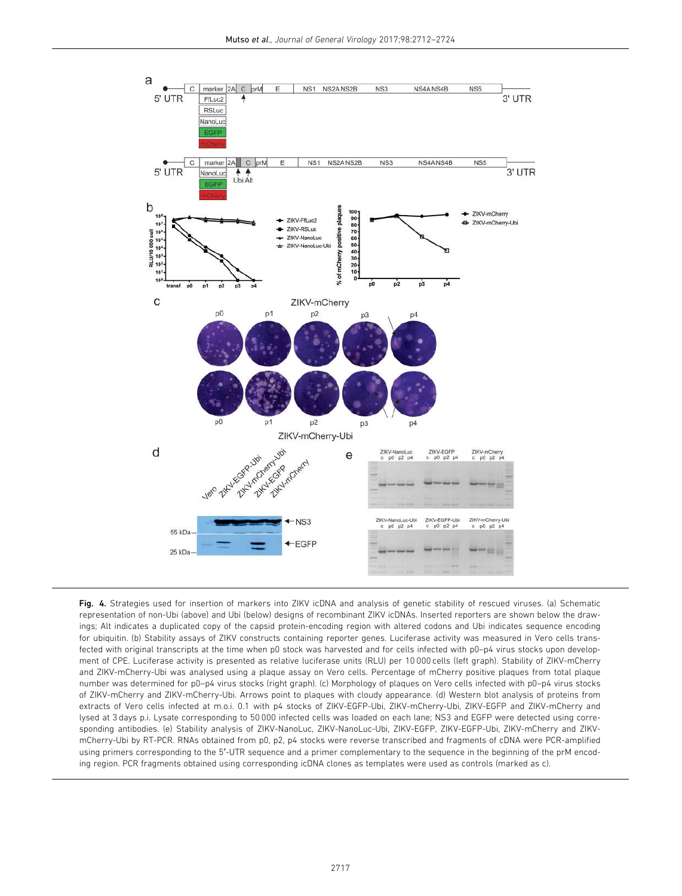

Fig. 4. Strategies used for insertion of markers into ZIKV icDNA and analysis of genetic stability of rescued viruses. (a) Schematic representation of non-Ubi (above) and Ubi (below) designs of recombinant ZIKV icDNAs. Inserted reporters are shown below the drawings; Alt indicates a duplicated copy of the capsid protein-encoding region with altered codons and Ubi indicates sequence encoding for ubiquitin. (b) Stability assays of ZIKV constructs containing reporter genes. Luciferase activity was measured in Vero cells transfected with original transcripts at the time when p0 stock was harvested and for cells infected with p0–p4 virus stocks upon development of CPE. Luciferase activity is presented as relative luciferase units (RLU) per 10 000 cells (left graph). Stability of ZIKV-mCherry and ZIKV-mCherry-Ubi was analysed using a plaque assay on Vero cells. Percentage of mCherry positive plaques from total plaque number was determined for p0–p4 virus stocks (right graph). (c) Morphology of plaques on Vero cells infected with p0–p4 virus stocks of ZIKV-mCherry and ZIKV-mCherry-Ubi. Arrows point to plaques with cloudy appearance. (d) Western blot analysis of proteins from extracts of Vero cells infected at m.o.i. 0.1 with p4 stocks of ZIKV-EGFP-Ubi, ZIKV-mCherry-Ubi, ZIKV-EGFP and ZIKV-mCherry and lysed at 3 days p.i. Lysate corresponding to 50 000 infected cells was loaded on each lane; NS3 and EGFP were detected using corresponding antibodies. (e) Stability analysis of ZIKV-NanoLuc, ZIKV-NanoLuc-Ubi, ZIKV-EGFP, ZIKV-EGFP-Ubi, ZIKV-mCherry and ZIKVmCherry-Ubi by RT-PCR. RNAs obtained from p0, p2, p4 stocks were reverse transcribed and fragments of cDNA were PCR-amplified using primers corresponding to the 5'-UTR sequence and a primer complementary to the sequence in the beginning of the prM encoding region. PCR fragments obtained using corresponding icDNA clones as templates were used as controls (marked as c).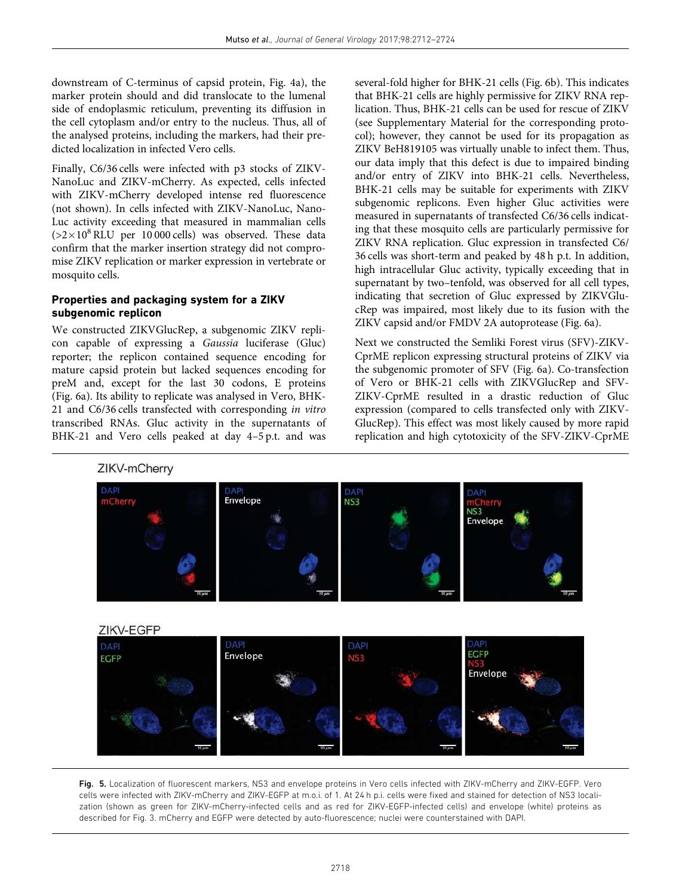downstream of C-terminus of capsid protein, Fig. 4a), the marker protein should and did translocate to the lumenal side of endoplasmic reticulum, preventing its diffusion in the cell cytoplasm and/or entry to the nucleus. Thus, all of the analysed proteins, including the markers, had their predicted localization in infected Vero cells.

Finally, C6/36 cells were infected with p3 stocks of ZIKV-NanoLuc and ZIKV-mCherry. As expected, cells infected with ZIKV-mCherry developed intense red fluorescence (not shown). In cells infected with ZIKV-NanoLuc, Nano-Luc activity exceeding that measured in mammalian cells  $(>2\times10^8\,\rm{RLU}$  per 10 000 cells) was observed. These data confirm that the marker insertion strategy did not compromise ZIKV replication or marker expression in vertebrate or mosquito cells.

#### Properties and packaging system for a ZIKV subgenomic replicon

We constructed ZIKVGlucRep, a subgenomic ZIKV replicon capable of expressing a Gaussia luciferase (Gluc) reporter; the replicon contained sequence encoding for mature capsid protein but lacked sequences encoding for preM and, except for the last 30 codons, E proteins (Fig. 6a). Its ability to replicate was analysed in Vero, BHK-21 and C6/36 cells transfected with corresponding in vitro transcribed RNAs. Gluc activity in the supernatants of BHK-21 and Vero cells peaked at day 4–5 p.t. and was

several-fold higher for BHK-21 cells (Fig. 6b). This indicates that BHK-21 cells are highly permissive for ZIKV RNA replication. Thus, BHK-21 cells can be used for rescue of ZIKV (see Supplementary Material for the corresponding protocol); however, they cannot be used for its propagation as ZIKV BeH819105 was virtually unable to infect them. Thus, our data imply that this defect is due to impaired binding and/or entry of ZIKV into BHK-21 cells. Nevertheless, BHK-21 cells may be suitable for experiments with ZIKV subgenomic replicons. Even higher Gluc activities were measured in supernatants of transfected C6/36 cells indicating that these mosquito cells are particularly permissive for ZIKV RNA replication. Gluc expression in transfected C6/ 36 cells was short-term and peaked by 48 h p.t. In addition, high intracellular Gluc activity, typically exceeding that in supernatant by two–tenfold, was observed for all cell types, indicating that secretion of Gluc expressed by ZIKVGlucRep was impaired, most likely due to its fusion with the ZIKV capsid and/or FMDV 2A autoprotease (Fig. 6a).

Next we constructed the Semliki Forest virus (SFV)-ZIKV-CprME replicon expressing structural proteins of ZIKV via the subgenomic promoter of SFV (Fig. 6a). Co-transfection of Vero or BHK-21 cells with ZIKVGlucRep and SFV-ZIKV-CprME resulted in a drastic reduction of Gluc expression (compared to cells transfected only with ZIKV-GlucRep). This effect was most likely caused by more rapid replication and high cytotoxicity of the SFV-ZIKV-CprME



Fig. 5. Localization of fluorescent markers, NS3 and envelope proteins in Vero cells infected with ZIKV-mCherry and ZIKV-EGFP. Vero cells were infected with ZIKV-mCherry and ZIKV-EGFP at m.o.i. of 1. At 24 h p.i. cells were fixed and stained for detection of NS3 localization (shown as green for ZIKV-mCherry-infected cells and as red for ZIKV-EGFP-infected cells) and envelope (white) proteins as described for Fig. 3. mCherry and EGFP were detected by auto-fluorescence; nuclei were counterstained with DAPI.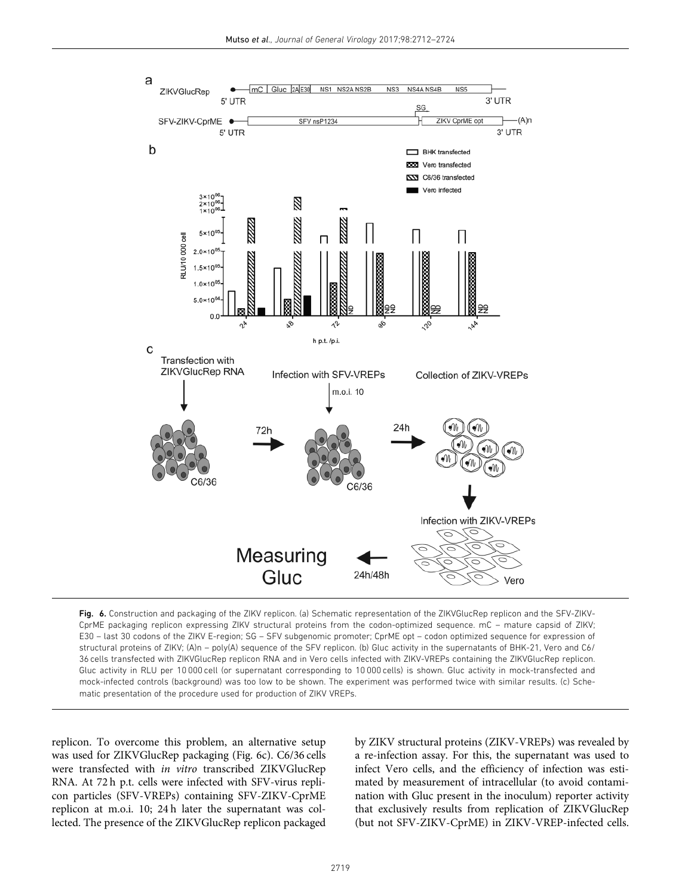

Fig. 6. Construction and packaging of the ZIKV replicon. (a) Schematic representation of the ZIKVGlucRep replicon and the SFV-ZIKV-CprME packaging replicon expressing ZIKV structural proteins from the codon-optimized sequence. mC – mature capsid of ZIKV; E30 – last 30 codons of the ZIKV E-region; SG – SFV subgenomic promoter; CprME opt – codon optimized sequence for expression of structural proteins of ZIKV; (A)n – poly(A) sequence of the SFV replicon. (b) Gluc activity in the supernatants of BHK-21, Vero and C6/ 36 cells transfected with ZIKVGlucRep replicon RNA and in Vero cells infected with ZIKV-VREPs containing the ZIKVGlucRep replicon. Gluc activity in RLU per 10 000 cell (or supernatant corresponding to 10 000 cells) is shown. Gluc activity in mock-transfected and mock-infected controls (background) was too low to be shown. The experiment was performed twice with similar results. (c) Schematic presentation of the procedure used for production of ZIKV VREPs.

replicon. To overcome this problem, an alternative setup was used for ZIKVGlucRep packaging (Fig. 6c). C6/36 cells were transfected with in vitro transcribed ZIKVGlucRep RNA. At 72 h p.t. cells were infected with SFV-virus replicon particles (SFV-VREPs) containing SFV-ZIKV-CprME replicon at m.o.i. 10; 24 h later the supernatant was collected. The presence of the ZIKVGlucRep replicon packaged

by ZIKV structural proteins (ZIKV-VREPs) was revealed by a re-infection assay. For this, the supernatant was used to infect Vero cells, and the efficiency of infection was estimated by measurement of intracellular (to avoid contamination with Gluc present in the inoculum) reporter activity that exclusively results from replication of ZIKVGlucRep (but not SFV-ZIKV-CprME) in ZIKV-VREP-infected cells.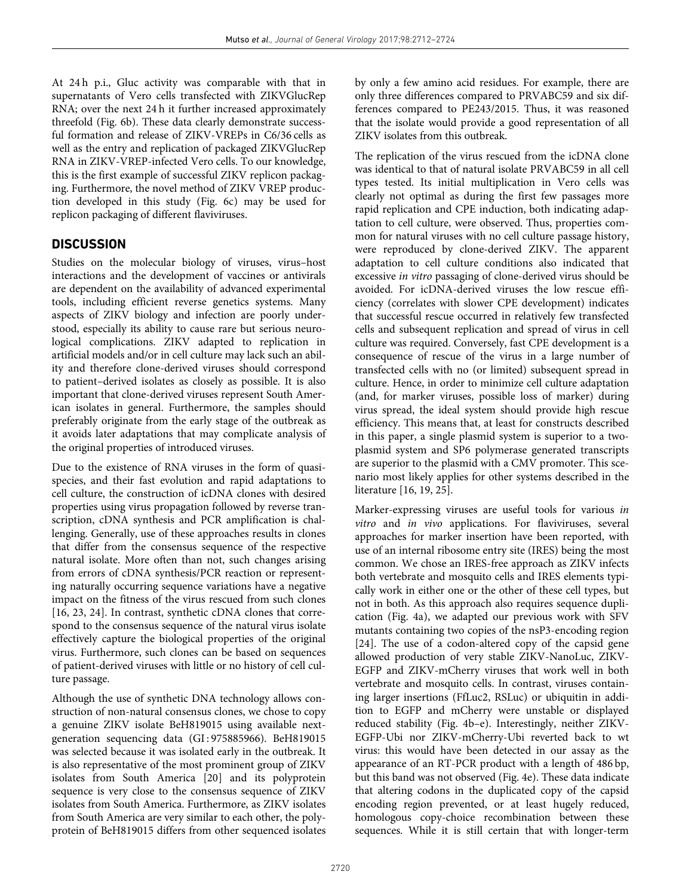At 24 h p.i., Gluc activity was comparable with that in supernatants of Vero cells transfected with ZIKVGlucRep RNA; over the next 24 h it further increased approximately threefold (Fig. 6b). These data clearly demonstrate successful formation and release of ZIKV-VREPs in C6/36 cells as well as the entry and replication of packaged ZIKVGlucRep RNA in ZIKV-VREP-infected Vero cells. To our knowledge, this is the first example of successful ZIKV replicon packaging. Furthermore, the novel method of ZIKV VREP production developed in this study (Fig. 6c) may be used for replicon packaging of different flaviviruses.

# **DISCUSSION**

Studies on the molecular biology of viruses, virus–host interactions and the development of vaccines or antivirals are dependent on the availability of advanced experimental tools, including efficient reverse genetics systems. Many aspects of ZIKV biology and infection are poorly understood, especially its ability to cause rare but serious neurological complications. ZIKV adapted to replication in artificial models and/or in cell culture may lack such an ability and therefore clone-derived viruses should correspond to patient–derived isolates as closely as possible. It is also important that clone-derived viruses represent South American isolates in general. Furthermore, the samples should preferably originate from the early stage of the outbreak as it avoids later adaptations that may complicate analysis of the original properties of introduced viruses.

Due to the existence of RNA viruses in the form of quasispecies, and their fast evolution and rapid adaptations to cell culture, the construction of icDNA clones with desired properties using virus propagation followed by reverse transcription, cDNA synthesis and PCR amplification is challenging. Generally, use of these approaches results in clones that differ from the consensus sequence of the respective natural isolate. More often than not, such changes arising from errors of cDNA synthesis/PCR reaction or representing naturally occurring sequence variations have a negative impact on the fitness of the virus rescued from such clones [16, 23, 24]. In contrast, synthetic cDNA clones that correspond to the consensus sequence of the natural virus isolate effectively capture the biological properties of the original virus. Furthermore, such clones can be based on sequences of patient-derived viruses with little or no history of cell culture passage.

Although the use of synthetic DNA technology allows construction of non-natural consensus clones, we chose to copy a genuine ZIKV isolate BeH819015 using available nextgeneration sequencing data (GI : 975885966). BeH819015 was selected because it was isolated early in the outbreak. It is also representative of the most prominent group of ZIKV isolates from South America [20] and its polyprotein sequence is very close to the consensus sequence of ZIKV isolates from South America. Furthermore, as ZIKV isolates from South America are very similar to each other, the polyprotein of BeH819015 differs from other sequenced isolates by only a few amino acid residues. For example, there are only three differences compared to PRVABC59 and six differences compared to PE243/2015. Thus, it was reasoned that the isolate would provide a good representation of all ZIKV isolates from this outbreak.

The replication of the virus rescued from the icDNA clone was identical to that of natural isolate PRVABC59 in all cell types tested. Its initial multiplication in Vero cells was clearly not optimal as during the first few passages more rapid replication and CPE induction, both indicating adaptation to cell culture, were observed. Thus, properties common for natural viruses with no cell culture passage history, were reproduced by clone-derived ZIKV. The apparent adaptation to cell culture conditions also indicated that excessive in vitro passaging of clone-derived virus should be avoided. For icDNA-derived viruses the low rescue efficiency (correlates with slower CPE development) indicates that successful rescue occurred in relatively few transfected cells and subsequent replication and spread of virus in cell culture was required. Conversely, fast CPE development is a consequence of rescue of the virus in a large number of transfected cells with no (or limited) subsequent spread in culture. Hence, in order to minimize cell culture adaptation (and, for marker viruses, possible loss of marker) during virus spread, the ideal system should provide high rescue efficiency. This means that, at least for constructs described in this paper, a single plasmid system is superior to a twoplasmid system and SP6 polymerase generated transcripts are superior to the plasmid with a CMV promoter. This scenario most likely applies for other systems described in the literature [16, 19, 25].

Marker-expressing viruses are useful tools for various in vitro and in vivo applications. For flaviviruses, several approaches for marker insertion have been reported, with use of an internal ribosome entry site (IRES) being the most common. We chose an IRES-free approach as ZIKV infects both vertebrate and mosquito cells and IRES elements typically work in either one or the other of these cell types, but not in both. As this approach also requires sequence duplication (Fig. 4a), we adapted our previous work with SFV mutants containing two copies of the nsP3-encoding region [24]. The use of a codon-altered copy of the capsid gene allowed production of very stable ZIKV-NanoLuc, ZIKV-EGFP and ZIKV-mCherry viruses that work well in both vertebrate and mosquito cells. In contrast, viruses containing larger insertions (FfLuc2, RSLuc) or ubiquitin in addition to EGFP and mCherry were unstable or displayed reduced stability (Fig. 4b–e). Interestingly, neither ZIKV-EGFP-Ubi nor ZIKV-mCherry-Ubi reverted back to wt virus: this would have been detected in our assay as the appearance of an RT-PCR product with a length of 486 bp, but this band was not observed (Fig. 4e). These data indicate that altering codons in the duplicated copy of the capsid encoding region prevented, or at least hugely reduced, homologous copy-choice recombination between these sequences. While it is still certain that with longer-term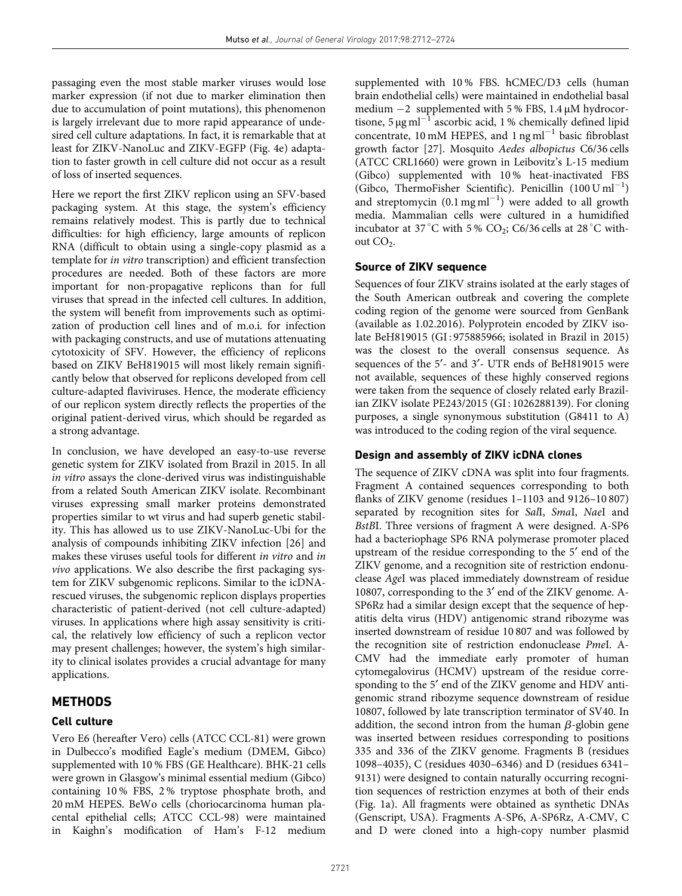passaging even the most stable marker viruses would lose marker expression (if not due to marker elimination then due to accumulation of point mutations), this phenomenon is largely irrelevant due to more rapid appearance of undesired cell culture adaptations. In fact, it is remarkable that at least for ZIKV-NanoLuc and ZIKV-EGFP (Fig. 4e) adaptation to faster growth in cell culture did not occur as a result of loss of inserted sequences.

Here we report the first ZIKV replicon using an SFV-based packaging system. At this stage, the system's efficiency remains relatively modest. This is partly due to technical difficulties: for high efficiency, large amounts of replicon RNA (difficult to obtain using a single-copy plasmid as a template for in vitro transcription) and efficient transfection procedures are needed. Both of these factors are more important for non-propagative replicons than for full viruses that spread in the infected cell cultures. In addition, the system will benefit from improvements such as optimization of production cell lines and of m.o.i. for infection with packaging constructs, and use of mutations attenuating cytotoxicity of SFV. However, the efficiency of replicons based on ZIKV BeH819015 will most likely remain significantly below that observed for replicons developed from cell culture-adapted flaviviruses. Hence, the moderate efficiency of our replicon system directly reflects the properties of the original patient-derived virus, which should be regarded as a strong advantage.

In conclusion, we have developed an easy-to-use reverse genetic system for ZIKV isolated from Brazil in 2015. In all in vitro assays the clone-derived virus was indistinguishable from a related South American ZIKV isolate. Recombinant viruses expressing small marker proteins demonstrated properties similar to wt virus and had superb genetic stability. This has allowed us to use ZIKV-NanoLuc-Ubi for the analysis of compounds inhibiting ZIKV infection [26] and makes these viruses useful tools for different in vitro and in vivo applications. We also describe the first packaging system for ZIKV subgenomic replicons. Similar to the icDNArescued viruses, the subgenomic replicon displays properties characteristic of patient-derived (not cell culture-adapted) viruses. In applications where high assay sensitivity is critical, the relatively low efficiency of such a replicon vector may present challenges; however, the system's high similarity to clinical isolates provides a crucial advantage for many applications.

# **METHODS**

#### Cell culture

Vero E6 (hereafter Vero) cells (ATCC CCL-81) were grown in Dulbecco's modified Eagle's medium (DMEM, Gibco) supplemented with 10 % FBS (GE Healthcare). BHK-21 cells were grown in Glasgow's minimal essential medium (Gibco) containing 10 % FBS, 2 % tryptose phosphate broth, and 20 mM HEPES. BeWo cells (choriocarcinoma human placental epithelial cells; ATCC CCL-98) were maintained in Kaighn's modification of Ham's F-12 medium

supplemented with 10 % FBS. hCMEC/D3 cells (human brain endothelial cells) were maintained in endothelial basal medium  $-2$  supplemented with 5 % FBS, 1.4  $\mu$ M hydrocortisone, 5  $\mu$ g ml<sup>-1</sup> ascorbic acid, 1 % chemically defined lipid concentrate,  $10 \text{ mM }$  HEPES, and  $1 \text{ ng }$ ml<sup>-1</sup> basic fibroblast growth factor [27]. Mosquito Aedes albopictus C6/36 cells (ATCC CRL1660) were grown in Leibovitz's L-15 medium (Gibco) supplemented with 10 % heat-inactivated FBS (Gibco, ThermoFisher Scientific). Penicillin  $(100 \text{ U ml}^{-1})$ and streptomycin  $(0.1 \text{ mg ml}^{-1})$  were added to all growth media. Mammalian cells were cultured in a humidified incubator at 37 °C with 5 % CO<sub>2</sub>; C6/36 cells at 28 °C without  $CO<sub>2</sub>$ .

#### Source of ZIKV sequence

Sequences of four ZIKV strains isolated at the early stages of the South American outbreak and covering the complete coding region of the genome were sourced from GenBank (available as 1.02.2016). Polyprotein encoded by ZIKV isolate BeH819015 (GI : 975885966; isolated in Brazil in 2015) was the closest to the overall consensus sequence. As sequences of the 5<sup>'</sup>- and 3<sup>'</sup>- UTR ends of BeH819015 were not available, sequences of these highly conserved regions were taken from the sequence of closely related early Brazilian ZIKV isolate PE243/2015 (GI : 1026288139). For cloning purposes, a single synonymous substitution (G8411 to A) was introduced to the coding region of the viral sequence.

#### Design and assembly of ZIKV icDNA clones

The sequence of ZIKV cDNA was split into four fragments. Fragment A contained sequences corresponding to both flanks of ZIKV genome (residues 1–1103 and 9126–10 807) separated by recognition sites for SalI, SmaI, NaeI and BstBI. Three versions of fragment A were designed. A-SP6 had a bacteriophage SP6 RNA polymerase promoter placed upstream of the residue corresponding to the 5<sup>'</sup> end of the ZIKV genome, and a recognition site of restriction endonuclease AgeI was placed immediately downstream of residue 10807, corresponding to the 3' end of the ZIKV genome. A-SP6Rz had a similar design except that the sequence of hepatitis delta virus (HDV) antigenomic strand ribozyme was inserted downstream of residue 10 807 and was followed by the recognition site of restriction endonuclease PmeI. A-CMV had the immediate early promoter of human cytomegalovirus (HCMV) upstream of the residue corresponding to the 5' end of the ZIKV genome and HDV antigenomic strand ribozyme sequence downstream of residue 10807, followed by late transcription terminator of SV40. In addition, the second intron from the human  $\beta$ -globin gene was inserted between residues corresponding to positions 335 and 336 of the ZIKV genome. Fragments B (residues 1098–4035), C (residues 4030–6346) and D (residues 6341– 9131) were designed to contain naturally occurring recognition sequences of restriction enzymes at both of their ends (Fig. 1a). All fragments were obtained as synthetic DNAs (Genscript, USA). Fragments A-SP6, A-SP6Rz, A-CMV, C and D were cloned into a high-copy number plasmid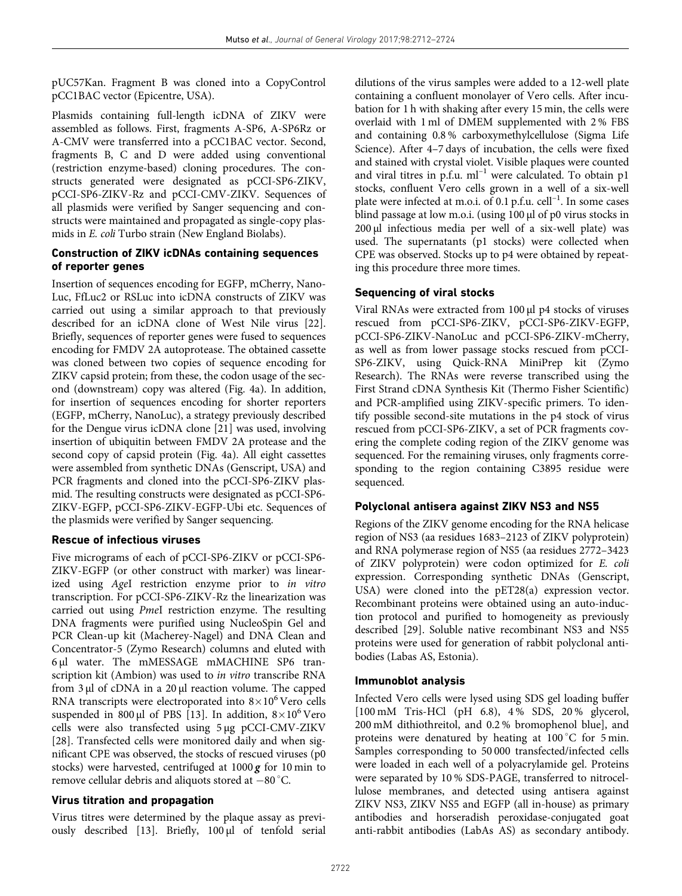pUC57Kan. Fragment B was cloned into a CopyControl pCC1BAC vector (Epicentre, USA).

Plasmids containing full-length icDNA of ZIKV were assembled as follows. First, fragments A-SP6, A-SP6Rz or A-CMV were transferred into a pCC1BAC vector. Second, fragments B, C and D were added using conventional (restriction enzyme-based) cloning procedures. The constructs generated were designated as pCCI-SP6-ZIKV, pCCI-SP6-ZIKV-Rz and pCCI-CMV-ZIKV. Sequences of all plasmids were verified by Sanger sequencing and constructs were maintained and propagated as single-copy plasmids in E. coli Turbo strain (New England Biolabs).

# Construction of ZIKV icDNAs containing sequences of reporter genes

Insertion of sequences encoding for EGFP, mCherry, Nano-Luc, FfLuc2 or RSLuc into icDNA constructs of ZIKV was carried out using a similar approach to that previously described for an icDNA clone of West Nile virus [22]. Briefly, sequences of reporter genes were fused to sequences encoding for FMDV 2A autoprotease. The obtained cassette was cloned between two copies of sequence encoding for ZIKV capsid protein; from these, the codon usage of the second (downstream) copy was altered (Fig. 4a). In addition, for insertion of sequences encoding for shorter reporters (EGFP, mCherry, NanoLuc), a strategy previously described for the Dengue virus icDNA clone [21] was used, involving insertion of ubiquitin between FMDV 2A protease and the second copy of capsid protein (Fig. 4a). All eight cassettes were assembled from synthetic DNAs (Genscript, USA) and PCR fragments and cloned into the pCCI-SP6-ZIKV plasmid. The resulting constructs were designated as pCCI-SP6- ZIKV-EGFP, pCCI-SP6-ZIKV-EGFP-Ubi etc. Sequences of the plasmids were verified by Sanger sequencing.

# Rescue of infectious viruses

Five micrograms of each of pCCI-SP6-ZIKV or pCCI-SP6- ZIKV-EGFP (or other construct with marker) was linearized using AgeI restriction enzyme prior to in vitro transcription. For pCCI-SP6-ZIKV-Rz the linearization was carried out using PmeI restriction enzyme. The resulting DNA fragments were purified using NucleoSpin Gel and PCR Clean-up kit (Macherey-Nagel) and DNA Clean and Concentrator-5 (Zymo Research) columns and eluted with 6 µl water. The mMESSAGE mMACHINE SP6 transcription kit (Ambion) was used to in vitro transcribe RNA from 3 µl of cDNA in a 20 µl reaction volume. The capped RNA transcripts were electroporated into  $8 \times 10^6$  Vero cells suspended in 800 µl of PBS [13]. In addition,  $8 \times 10^6$  Vero cells were also transfected using 5 µg pCCI-CMV-ZIKV [28]. Transfected cells were monitored daily and when significant CPE was observed, the stocks of rescued viruses (p0 stocks) were harvested, centrifuged at  $1000\,\text{g}$  for 10 min to remove cellular debris and aliquots stored at  $-80^{\circ}$ C.

# Virus titration and propagation

Virus titres were determined by the plaque assay as previously described [13]. Briefly, 100 µl of tenfold serial dilutions of the virus samples were added to a 12-well plate containing a confluent monolayer of Vero cells. After incubation for 1 h with shaking after every 15 min, the cells were overlaid with 1 ml of DMEM supplemented with 2 % FBS and containing 0.8 % carboxymethylcellulose (Sigma Life Science). After 4–7 days of incubation, the cells were fixed and stained with crystal violet. Visible plaques were counted and viral titres in  $p.f.u.$   $ml^{-1}$  were calculated. To obtain p1 stocks, confluent Vero cells grown in a well of a six-well plate were infected at m.o.i. of 0.1 p.f.u. cell<sup>-1</sup>. In some cases blind passage at low m.o.i. (using 100 µl of p0 virus stocks in 200 µl infectious media per well of a six-well plate) was used. The supernatants (p1 stocks) were collected when CPE was observed. Stocks up to p4 were obtained by repeating this procedure three more times.

# Sequencing of viral stocks

Viral RNAs were extracted from 100 µl p4 stocks of viruses rescued from pCCI-SP6-ZIKV, pCCI-SP6-ZIKV-EGFP, pCCI-SP6-ZIKV-NanoLuc and pCCI-SP6-ZIKV-mCherry, as well as from lower passage stocks rescued from pCCI-SP6-ZIKV, using Quick-RNA MiniPrep kit (Zymo Research). The RNAs were reverse transcribed using the First Strand cDNA Synthesis Kit (Thermo Fisher Scientific) and PCR-amplified using ZIKV-specific primers. To identify possible second-site mutations in the p4 stock of virus rescued from pCCI-SP6-ZIKV, a set of PCR fragments covering the complete coding region of the ZIKV genome was sequenced. For the remaining viruses, only fragments corresponding to the region containing C3895 residue were sequenced.

# Polyclonal antisera against ZIKV NS3 and NS5

Regions of the ZIKV genome encoding for the RNA helicase region of NS3 (aa residues 1683–2123 of ZIKV polyprotein) and RNA polymerase region of NS5 (aa residues 2772–3423 of ZIKV polyprotein) were codon optimized for E. coli expression. Corresponding synthetic DNAs (Genscript, USA) were cloned into the pET28(a) expression vector. Recombinant proteins were obtained using an auto-induction protocol and purified to homogeneity as previously described [29]. Soluble native recombinant NS3 and NS5 proteins were used for generation of rabbit polyclonal antibodies (Labas AS, Estonia).

#### Immunoblot analysis

Infected Vero cells were lysed using SDS gel loading buffer [100 mM Tris-HCl (pH 6.8), 4 % SDS, 20 % glycerol, 200 mM dithiothreitol, and 0.2 % bromophenol blue], and proteins were denatured by heating at  $100^{\circ}$ C for 5 min. Samples corresponding to 50 000 transfected/infected cells were loaded in each well of a polyacrylamide gel. Proteins were separated by 10 % SDS-PAGE, transferred to nitrocellulose membranes, and detected using antisera against ZIKV NS3, ZIKV NS5 and EGFP (all in-house) as primary antibodies and horseradish peroxidase-conjugated goat anti-rabbit antibodies (LabAs AS) as secondary antibody.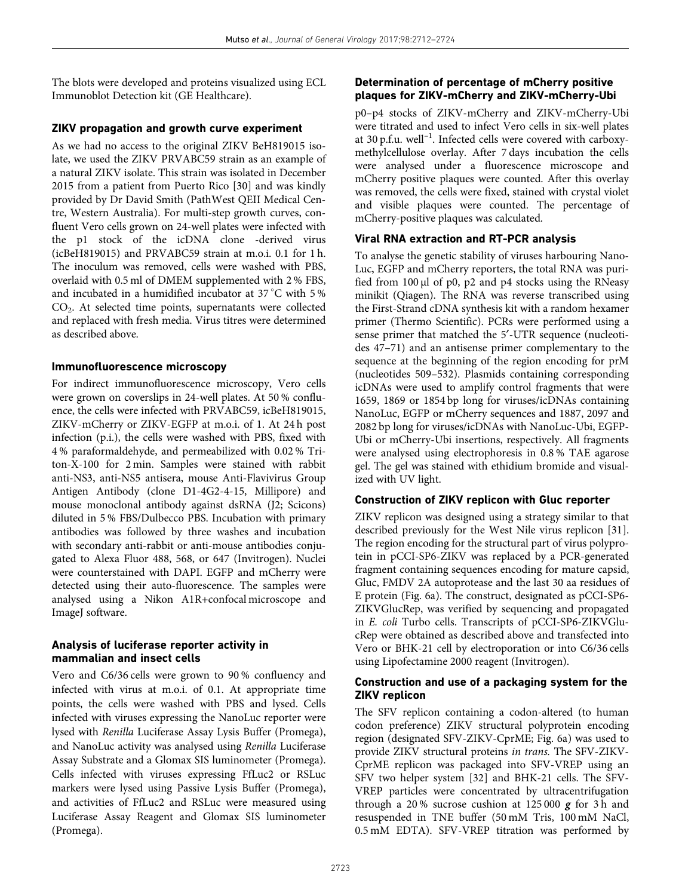The blots were developed and proteins visualized using ECL Immunoblot Detection kit (GE Healthcare).

# ZIKV propagation and growth curve experiment

As we had no access to the original ZIKV BeH819015 isolate, we used the ZIKV PRVABC59 strain as an example of a natural ZIKV isolate. This strain was isolated in December 2015 from a patient from Puerto Rico [30] and was kindly provided by Dr David Smith (PathWest QEII Medical Centre, Western Australia). For multi-step growth curves, confluent Vero cells grown on 24-well plates were infected with the p1 stock of the icDNA clone -derived virus (icBeH819015) and PRVABC59 strain at m.o.i. 0.1 for 1 h. The inoculum was removed, cells were washed with PBS, overlaid with 0.5 ml of DMEM supplemented with 2 % FBS, and incubated in a humidified incubator at 37°C with 5% CO<sup>2</sup> . At selected time points, supernatants were collected and replaced with fresh media. Virus titres were determined as described above.

# Immunofluorescence microscopy

For indirect immunofluorescence microscopy, Vero cells were grown on coverslips in 24-well plates. At 50 % confluence, the cells were infected with PRVABC59, icBeH819015, ZIKV-mCherry or ZIKV-EGFP at m.o.i. of 1. At 24 h post infection (p.i.), the cells were washed with PBS, fixed with 4 % paraformaldehyde, and permeabilized with 0.02 % Triton-X-100 for 2 min. Samples were stained with rabbit anti-NS3, anti-NS5 antisera, mouse Anti-Flavivirus Group Antigen Antibody (clone D1-4G2-4-15, Millipore) and mouse monoclonal antibody against dsRNA (J2; Scicons) diluted in 5 % FBS/Dulbecco PBS. Incubation with primary antibodies was followed by three washes and incubation with secondary anti-rabbit or anti-mouse antibodies conjugated to Alexa Fluor 488, 568, or 647 (Invitrogen). Nuclei were counterstained with DAPI. EGFP and mCherry were detected using their auto-fluorescence. The samples were analysed using a Nikon A1R+confocal microscope and ImageJ software.

#### Analysis of luciferase reporter activity in mammalian and insect cells

Vero and C6/36 cells were grown to 90 % confluency and infected with virus at m.o.i. of 0.1. At appropriate time points, the cells were washed with PBS and lysed. Cells infected with viruses expressing the NanoLuc reporter were lysed with Renilla Luciferase Assay Lysis Buffer (Promega), and NanoLuc activity was analysed using Renilla Luciferase Assay Substrate and a Glomax SIS luminometer (Promega). Cells infected with viruses expressing FfLuc2 or RSLuc markers were lysed using Passive Lysis Buffer (Promega), and activities of FfLuc2 and RSLuc were measured using Luciferase Assay Reagent and Glomax SIS luminometer (Promega).

# Determination of percentage of mCherry positive plaques for ZIKV-mCherry and ZIKV-mCherry-Ubi

p0–p4 stocks of ZIKV-mCherry and ZIKV-mCherry-Ubi were titrated and used to infect Vero cells in six-well plates at 30 p.f.u. well–<sup>1</sup> . Infected cells were covered with carboxymethylcellulose overlay. After 7 days incubation the cells were analysed under a fluorescence microscope and mCherry positive plaques were counted. After this overlay was removed, the cells were fixed, stained with crystal violet and visible plaques were counted. The percentage of mCherry-positive plaques was calculated.

# Viral RNA extraction and RT-PCR analysis

To analyse the genetic stability of viruses harbouring Nano-Luc, EGFP and mCherry reporters, the total RNA was purified from 100 µl of p0, p2 and p4 stocks using the RNeasy minikit (Qiagen). The RNA was reverse transcribed using the First-Strand cDNA synthesis kit with a random hexamer primer (Thermo Scientific). PCRs were performed using a sense primer that matched the 5'-UTR sequence (nucleotides 47–71) and an antisense primer complementary to the sequence at the beginning of the region encoding for prM (nucleotides 509–532). Plasmids containing corresponding icDNAs were used to amplify control fragments that were 1659, 1869 or 1854 bp long for viruses/icDNAs containing NanoLuc, EGFP or mCherry sequences and 1887, 2097 and 2082 bp long for viruses/icDNAs with NanoLuc-Ubi, EGFP-Ubi or mCherry-Ubi insertions, respectively. All fragments were analysed using electrophoresis in 0.8 % TAE agarose gel. The gel was stained with ethidium bromide and visualized with UV light.

#### Construction of ZIKV replicon with Gluc reporter

ZIKV replicon was designed using a strategy similar to that described previously for the West Nile virus replicon [31]. The region encoding for the structural part of virus polyprotein in pCCI-SP6-ZIKV was replaced by a PCR-generated fragment containing sequences encoding for mature capsid, Gluc, FMDV 2A autoprotease and the last 30 aa residues of E protein (Fig. 6a). The construct, designated as pCCI-SP6- ZIKVGlucRep, was verified by sequencing and propagated in E. coli Turbo cells. Transcripts of pCCI-SP6-ZIKVGlucRep were obtained as described above and transfected into Vero or BHK-21 cell by electroporation or into C6/36 cells using Lipofectamine 2000 reagent (Invitrogen).

# Construction and use of a packaging system for the ZIKV replicon

The SFV replicon containing a codon-altered (to human codon preference) ZIKV structural polyprotein encoding region (designated SFV-ZIKV-CprME; Fig. 6a) was used to provide ZIKV structural proteins in trans. The SFV-ZIKV-CprME replicon was packaged into SFV-VREP using an SFV two helper system [32] and BHK-21 cells. The SFV-VREP particles were concentrated by ultracentrifugation through a 20% sucrose cushion at 125 000  $g$  for 3 h and resuspended in TNE buffer (50 mM Tris, 100 mM NaCl, 0.5 mM EDTA). SFV-VREP titration was performed by